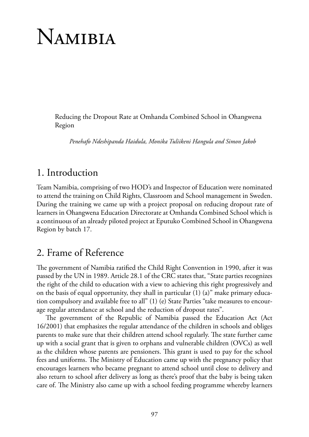# Namibia

Reducing the Dropout Rate at Omhanda Combined School in Ohangwena Region

*Penehafo Ndeshipanda Haidula, Monika Tuliikeni Hangula and Simon Jakob*

### 1. Introduction

Team Namibia, comprising of two HOD's and Inspector of Education were nominated to attend the training on Child Rights, Classroom and School management in Sweden. During the training we came up with a project proposal on reducing dropout rate of learners in Ohangwena Education Directorate at Omhanda Combined School which is a continuous of an already piloted project at Eputuko Combined School in Ohangwena Region by batch 17.

## 2. Frame of Reference

The government of Namibia ratified the Child Right Convention in 1990, after it was passed by the UN in 1989. Article 28.1 of the CRC states that, "State parties recognizes the right of the child to education with a view to achieving this right progressively and on the basis of equal opportunity, they shall in particular (1) (a)" make primary education compulsory and available free to all" (1) (e) State Parties "take measures to encourage regular attendance at school and the reduction of dropout rates".

The government of the Republic of Namibia passed the Education Act (Act 16/2001) that emphasizes the regular attendance of the children in schools and obliges parents to make sure that their children attend school regularly. The state further came up with a social grant that is given to orphans and vulnerable children (OVCs) as well as the children whose parents are pensioners. This grant is used to pay for the school fees and uniforms. The Ministry of Education came up with the pregnancy policy that encourages learners who became pregnant to attend school until close to delivery and also return to school after delivery as long as there's proof that the baby is being taken care of. The Ministry also came up with a school feeding programme whereby learners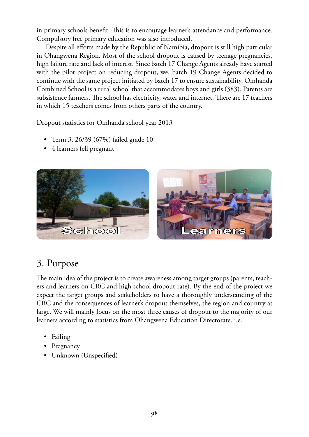in primary schools benefit. This is to encourage learner's attendance and performance. Compulsory free primary education was also introduced.

Despite all efforts made by the Republic of Namibia, dropout is still high particular in Ohangwena Region. Most of the school dropout is caused by teenage pregnancies, high failure rate and lack of interest. Since batch 17 Change Agents already have started with the pilot project on reducing dropout, we, batch 19 Change Agents decided to continue with the same project initiated by batch 17 to ensure sustainability. Omhanda Combined School is a rural school that accommodates boys and girls (383). Parents are subsistence farmers. The school has electricity, water and internet. There are 17 teachers in which 15 teachers comes from others parts of the country.

Dropout statistics for Omhanda school year 2013 Dropout statistics for Omhanda school year 2013

- Term 3, 26/39 (67%) failed grade 10 Term 3, 26/39 (67%) failed grade 10
- $\bullet$  4 learners fell pregnant



#### **3. Purpose**   $T<sub>1</sub>$  is the project is to complete and parameters are neglected groups (parameters and parameters and parameters and parameters and parameters and parameters and parameters and parameters  $T<sub>2</sub>$ 3. Purpose

The main idea of the project is to create awareness among target groups (parents, teachers and learners on CRC and high school dropout rate). By the end of the project we expect the target groups and stakeholders to have a thoroughly understanding of the CRC and the consequences of learner's dropout themselves, the region and country at large. We will mainly focus on the most three causes of dropout to the majority of our learners according to statistics from Ohangwena Education Directorate. i.e.

- Failing
	- Pregnancy
- Unknown (Unspecified) Unknown (Unspecified)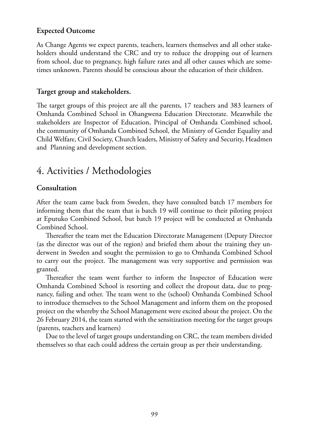#### **Expected Outcome**

As Change Agents we expect parents, teachers, learners themselves and all other stakeholders should understand the CRC and try to reduce the dropping out of learners from school, due to pregnancy, high failure rates and all other causes which are sometimes unknown. Parents should be conscious about the education of their children.

#### **Target group and stakeholders.**

The target groups of this project are all the parents, 17 teachers and 383 learners of Omhanda Combined School in Ohangwena Education Directorate. Meanwhile the stakeholders are Inspector of Education, Principal of Omhanda Combined school, the community of Omhanda Combined School, the Ministry of Gender Equality and Child Welfare, Civil Society, Church leaders, Ministry of Safety and Security, Headmen and Planning and development section.

# 4. Activities / Methodologies

#### **Consultation**

After the team came back from Sweden, they have consulted batch 17 members for informing them that the team that is batch 19 will continue to their piloting project at Eputuko Combined School, but batch 19 project will be conducted at Omhanda Combined School.

Thereafter the team met the Education Directorate Management (Deputy Director (as the director was out of the region) and briefed them about the training they underwent in Sweden and sought the permission to go to Omhanda Combined School to carry out the project. The management was very supportive and permission was granted.

Thereafter the team went further to inform the Inspector of Education were Omhanda Combined School is resorting and collect the dropout data, due to pregnancy, failing and other. The team went to the (school) Omhanda Combined School to introduce themselves to the School Management and inform them on the proposed project on the whereby the School Management were excited about the project. On the 26 February 2014, the team started with the sensitization meeting for the target groups (parents, teachers and learners)

Due to the level of target groups understanding on CRC, the team members divided themselves so that each could address the certain group as per their understanding.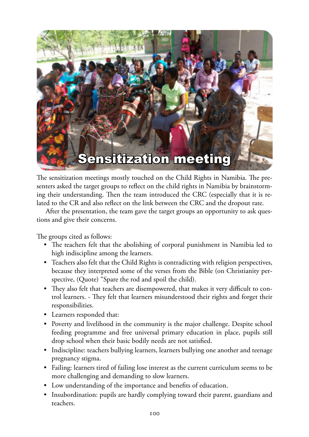

The sensitization meetings mostly touched on the Child Rights in Namibia. The presenters asked the target groups to reflect on the child rights in Namibia by brainstorming their understanding. Then the team introduced the CRC (especially that it is related to the CR and also reflect on the link between the CRC and the dropout rate.

After the presentation, the team gave the target groups an opportunity to ask questions and give their concerns.

The groups cited as follows:

- The teachers felt that the abolishing of corporal punishment in Namibia led to high indiscipline among the learners.
- Teachers also felt that the Child Rights is contradicting with religion perspectives, because they interpreted some of the verses from the Bible (on Christianity perspective, (Quote) "Spare the rod and spoil the child).
- They also felt that teachers are disempowered, that makes it very difficult to control learners. - They felt that learners misunderstood their rights and forget their responsibilities.
- Learners responded that:
- Poverty and livelihood in the community is the major challenge. Despite school feeding programme and free universal primary education in place, pupils still drop school when their basic bodily needs are not satisfied.
- Indiscipline: teachers bullying learners, learners bullying one another and teenage pregnancy stigma.
- Failing: learners tired of failing lose interest as the current curriculum seems to be more challenging and demanding to slow learners.
- Low understanding of the importance and benefits of education.
- Insubordination: pupils are hardly complying toward their parent, guardians and teachers.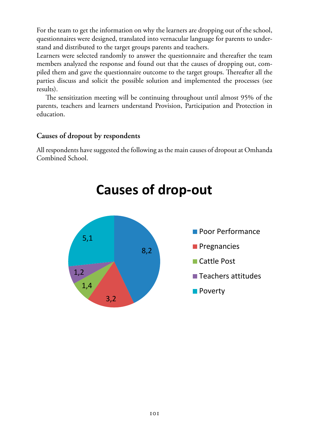For the team to get the information on why the learners are dropping out of the school,<br>successionnaires were designed, translated into vernacular language for narrate to under questionnaires were designed, translated into vernacular language for parents to underthe stand and distributed to the target groups parents and teachers.

Learners were selected randomly to answer the questionnaire and thereafter the team<br>members analyzed the reponse and found out that the causes of dropping out commembers analyzed the response and found out that the causes of dropping out, compiled them and gave the questionnaire outcome to the target groups. Thereafter all the parties discuss and solicit the possible solution and implemented the processes (see results).

resuns).<br>The sensitization meeting will be continuing throughout until almost 95% of the parents, teachers and learners understand Provision, Participation and Protection in education.

#### **Causes of dropout by respondents Causes of dropout by respondents**

All respondents have suggested the following as the main causes of dropout at Omhanda Combined School.



# **Causes of drop-out**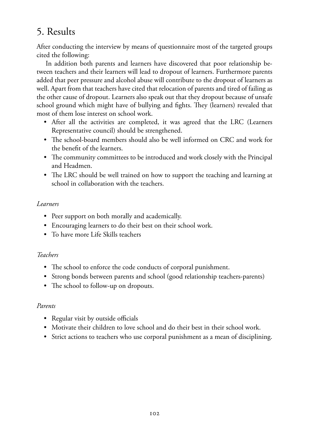# 5. Results

After conducting the interview by means of questionnaire most of the targeted groups cited the following:

In addition both parents and learners have discovered that poor relationship between teachers and their learners will lead to dropout of learners. Furthermore parents added that peer pressure and alcohol abuse will contribute to the dropout of learners as well. Apart from that teachers have cited that relocation of parents and tired of failing as the other cause of dropout. Learners also speak out that they dropout because of unsafe school ground which might have of bullying and fights. They (learners) revealed that most of them lose interest on school work.

- After all the activities are completed, it was agreed that the LRC (Learners Representative council) should be strengthened.
- The school-board members should also be well informed on CRC and work for the benefit of the learners.
- The community committees to be introduced and work closely with the Principal and Headmen.
- The LRC should be well trained on how to support the teaching and learning at school in collaboration with the teachers.

#### *Learners*

- Peer support on both morally and academically.
- Encouraging learners to do their best on their school work.
- To have more Life Skills teachers

#### *Teachers*

- The school to enforce the code conducts of corporal punishment.
- Strong bonds between parents and school (good relationship teachers-parents)
- The school to follow-up on dropouts.

#### *Parents*

- Regular visit by outside officials
- Motivate their children to love school and do their best in their school work.
- Strict actions to teachers who use corporal punishment as a mean of disciplining.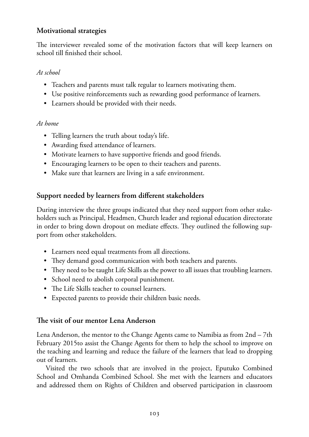#### **Motivational strategies**

The interviewer revealed some of the motivation factors that will keep learners on school till finished their school.

#### *At school*

- Teachers and parents must talk regular to learners motivating them.
- Use positive reinforcements such as rewarding good performance of learners.
- Learners should be provided with their needs.

#### *At home*

- Telling learners the truth about today's life.
- Awarding fixed attendance of learners.
- Motivate learners to have supportive friends and good friends.
- Encouraging learners to be open to their teachers and parents.
- Make sure that learners are living in a safe environment.

#### **Support needed by learners from different stakeholders**

During interview the three groups indicated that they need support from other stakeholders such as Principal, Headmen, Church leader and regional education directorate in order to bring down dropout on mediate effects. They outlined the following support from other stakeholders.

- Learners need equal treatments from all directions.
- They demand good communication with both teachers and parents.
- They need to be taught Life Skills as the power to all issues that troubling learners.
- School need to abolish corporal punishment.
- The Life Skills teacher to counsel learners.
- Expected parents to provide their children basic needs.

#### **The visit of our mentor Lena Anderson**

Lena Anderson, the mentor to the Change Agents came to Namibia as from 2nd – 7th February 2015to assist the Change Agents for them to help the school to improve on the teaching and learning and reduce the failure of the learners that lead to dropping out of learners.

Visited the two schools that are involved in the project, Eputuko Combined School and Omhanda Combined School. She met with the learners and educators and addressed them on Rights of Children and observed participation in classroom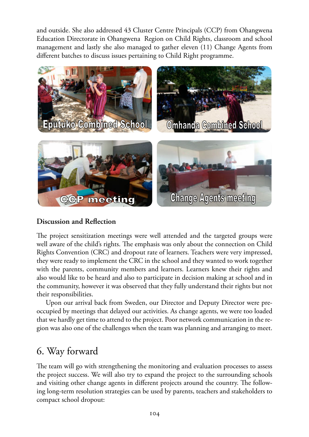and outside. She also addressed 43 Cluster Centre Principals (CCP) from Ohangwena Education Directorate in Ohangwena Region on Child Rights, classroom and school management and lastly she also managed to gather eleven (11) Change Agents from different batches to discuss issues pertaining to Child Right programme. Children and observed participation in classroom and outside. She also addressed 43 Cluster Centre and outside. She also addressed 45 Cluster Centre Principals (CCP) from Ohangwena



#### **Discussion and Reflection**

The project sensitization meetings were well attended and the targeted groups were well aware of the child's rights. The emphasis was only about the connection on Child Rights Convention (CRC) and dropout rate of learners. Teachers were very impressed, they were ready to implement the CRC in the school and they wanted to work together with the parents, community members and learners. Learners knew their rights and also would like to be heard and also to participate in decision making at school and in the community, however it was observed that they fully understand their rights but not their responsibilities.

Upon our arrival back from Sweden, our Director and Deputy Director were preoccupied by meetings that delayed our activities. As change agents, we were too loaded that we hardly get time to attend to the project. Poor network communication in the region was also one of the challenges when the team was planning and arranging to meet.

# 6. Way forward

The team will go with strengthening the monitoring and evaluation processes to assess the project success. We will also try to expand the project to the surrounding schools and visiting other change agents in different projects around the country. The following long-term resolution strategies can be used by parents, teachers and stakeholders to compact school dropout: